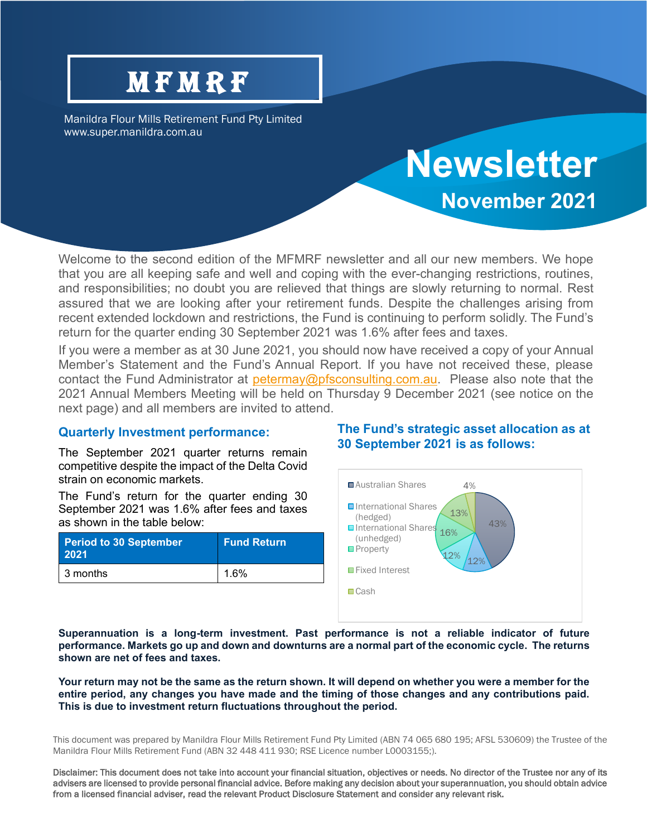## **MFMRF**

Manildra Flour Mills Retirement Fund Pty Limited www.super.manildra.com.au

# **Newsletter November 2021**

Welcome to the second edition of the MFMRF newsletter and all our new members. We hope that you are all keeping safe and well and coping with the ever-changing restrictions, routines, and responsibilities; no doubt you are relieved that things are slowly returning to normal. Rest assured that we are looking after your retirement funds. Despite the challenges arising from recent extended lockdown and restrictions, the Fund is continuing to perform solidly. The Fund's return for the quarter ending 30 September 2021 was 1.6% after fees and taxes.

If you were a member as at 30 June 2021, you should now have received a copy of your Annual Member's Statement and the Fund's Annual Report. If you have not received these, please contact the Fund Administrator at [petermay@pfsconsulting.com.au.](mailto:petermay@pfsconsulting.com.au) Please also note that the 2021 Annual Members Meeting will be held on Thursday 9 December 2021 (see notice on the next page) and all members are invited to attend.

#### **Quarterly Investment performance:**

The September 2021 quarter returns remain competitive despite the impact of the Delta Covid strain on economic markets.

The Fund's return for the quarter ending 30 September 2021 was 1.6% after fees and taxes as shown in the table below:

| Period to 30 September<br>2021 | <b>Fund Return</b> |
|--------------------------------|--------------------|
| l 3 months                     | 1.6%               |

#### **The Fund's strategic asset allocation as at 30 September 2021 is as follows:**



**Superannuation is a long-term investment. Past performance is not a reliable indicator of future performance. Markets go up and down and downturns are a normal part of the economic cycle. The returns shown are net of fees and taxes.**

**Your return may not be the same as the return shown. It will depend on whether you were a member for the entire period, any changes you have made and the timing of those changes and any contributions paid. This is due to investment return fluctuations throughout the period.**

This document was prepared by Manildra Flour Mills Retirement Fund Pty Limited (ABN 74 065 680 195; AFSL 530609) the Trustee of the Manildra Flour Mills Retirement Fund (ABN 32 448 411 930; RSE Licence number L0003155;).

Disclaimer: This document does not take into account your financial situation, objectives or needs. No director of the Trustee nor any of its advisers are licensed to provide personal financial advice. Before making any decision about your superannuation, you should obtain advice from a licensed financial adviser, read the relevant Product Disclosure Statement and consider any relevant risk.